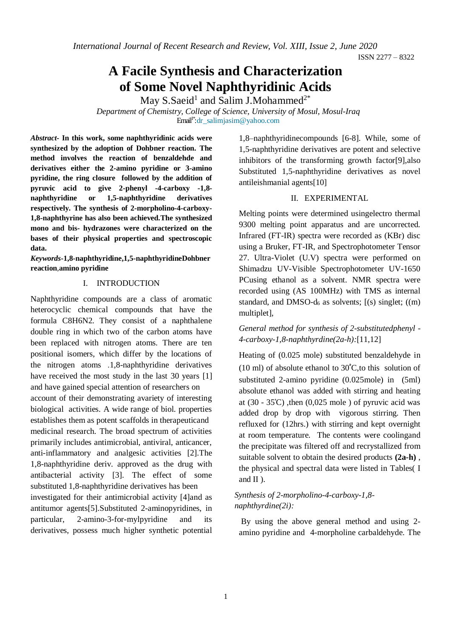*International Journal of Recent Research and Review, Vol. XIII, Issue 2, June 2020*

ISSN 2277 – 8322

# **A Facile Synthesis and Characterization of Some Novel Naphthyridinic Acids**

May S.Saeid<sup>1</sup> and Salim J.Mohammed<sup>2\*</sup>

*Department of Chemistry, College of Science, University of Mosul, Mosul-Iraq* Email1\*[:dr\\_salimjasim@yahoo.com](mailto:dr_salimjasim@yahoo.com)

*Abstract***- In this work, some naphthyridinic acids were synthesized by the adoption of Dohbner reaction. The method involves the reaction of benzaldehde and derivatives either the 2-amino pyridine or 3-amino pyridine, the ring closure followed by the addition of pyruvic acid to give 2-phenyl -4-carboxy -1,8 naphthyridine or 1,5-naphthyridine derivatives respectively. The synthesis of 2-morpholino-4-carboxy-1,8-naphthyrine has also been achieved.The synthesized mono and bis- hydrazones were characterized on the bases of their physical properties and spectroscopic data.**

*Keywords***-1,8-naphthyridine,1,5-naphthyridineDohbner reaction**,**amino pyridine**

#### I. INTRODUCTION

Naphthyridine compounds are a class of aromatic heterocyclic chemical compounds that have the formula C8H6N2. They consist of a naphthalene double ring in which two of the carbon atoms have been replaced with nitrogen atoms. There are ten positional isomers, which differ by the locations of the nitrogen atoms .1,8-naphthyridine derivatives have received the most study in the last 30 years [1] and have gained special attention of researchers on account of their demonstrating avariety of interesting biological activities. A wide range of biol. properties establishes them as potent scaffolds in therapeuticand medicinal research. The broad spectrum of activities primarily includes antimicrobial, antiviral, anticancer, anti-inflammatory and analgesic activities [2].The 1,8-naphthyridine deriv. approved as the drug with antibacterial activity [3]. The effect of some substituted 1,8-naphthyridine derivatives has been investigated for their antimicrobial activity [4]and as antitumor agents[5].Substituted 2-aminopyridines, in particular, 2-amino-3-for-mylpyridine and its derivatives, possess much higher synthetic potential 1,8–naphthyridinecompounds [6-8]. While, some of 1,5-naphthyridine derivatives are potent and selective inhibitors of the transforming growth factor[9],also Substituted 1,5-naphthyridine derivatives as novel antileishmanial agents[10]

#### II. EXPERIMENTAL

Melting points were determined usingelectro thermal 9300 melting point apparatus and are uncorrected. Infrared (FT-IR) spectra were recorded as (KBr) disc using a Bruker, FT-IR, and Spectrophotometer Tensor 27. Ultra-Violet (U.V) spectra were performed on Shimadzu UV-Visible Spectrophotometer UV-1650 PCusing ethanol as a solvent. NMR spectra were recorded using (AS 100MHz) with TMS as internal standard, and DMSO- $d_6$  as solvents;  $[(s)$  singlet;  $((m)$ multiplet],

*General method for synthesis of 2-substitutedphenyl - 4-carboxy-1,8-naphthyrdine(2a-h):*[11,12]

Heating of (0.025 mole) substituted benzaldehyde in (10 ml) of absolute ethanol to  $30^{\circ}$ C, to this solution of substituted 2-amino pyridine (0.025mole) in (5ml) absolute ethanol was added with stirring and heating at  $(30 - 35^{\circ}\text{C})$ , then  $(0.025 \text{ mole})$  of pyruvic acid was added drop by drop with vigorous stirring. Then refluxed for (12hrs.) with stirring and kept overnight at room temperature. The contents were coolingand the precipitate was filtered off and recrystallized from suitable solvent to obtain the desired products **(2a-h)** , the physical and spectral data were listed in Tables( I and II ).

#### *Synthesis of 2-morpholino-4-carboxy-1,8 naphthyrdine(2i):*

By using the above general method and using 2 amino pyridine and 4-morpholine carbaldehyde. The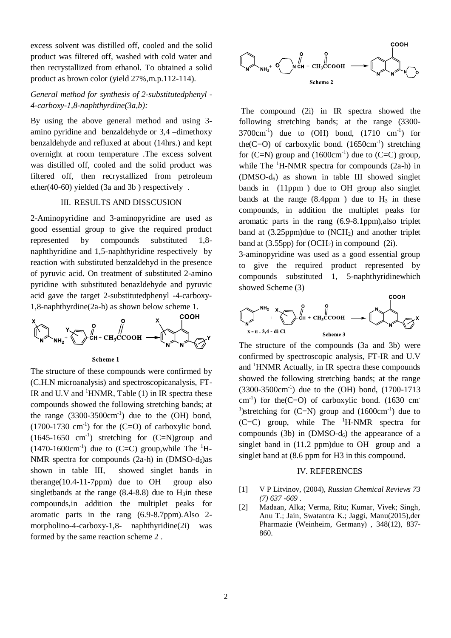excess solvent was distilled off, cooled and the solid product was filtered off, washed with cold water and then recrystallized from ethanol. To obtained a solid product as brown color (yield 27%,m.p.112-114).

#### *General method for synthesis of 2-substitutedphenyl - 4-carboxy-1,8-naphthyrdine(3a,b):*

By using the above general method and using 3 amino pyridine and benzaldehyde or 3,4 –dimethoxy benzaldehyde and refluxed at about (14hrs.) and kept overnight at room temperature .The excess solvent was distilled off, cooled and the solid product was filtered off, then recrystallized from petroleum ether(40-60) yielded (3a and 3b ) respectively .

#### III. RESULTS AND DISSCUSION

2-Aminopyridine and 3-aminopyridine are used as good essential group to give the required product represented by compounds substituted 1,8 naphthyridine and 1,5-naphthyridine respectively by reaction with substituted benzaldehyd in the presence of pyruvic acid. On treatment of substituted 2-amino pyridine with substituted benazldehyde and pyruvic acid gave the target 2-substitutedphenyl -4-carboxy-1,8-naphthyrdine(2a-h) as shown below scheme 1.







The structure of these compounds were confirmed by (C.H.N microanalysis) and spectroscopicanalysis, FT-IR and U.V and  ${}^{1}$ HNMR, Table (1) in IR spectra these compounds showed the following stretching bands; at the range  $(3300-3500 \text{cm}^{-1})$  due to the  $(OH)$  bond,  $(1700-1730 \text{ cm}^{-1})$  for the  $(C=O)$  of carboxylic bond.  $(1645-1650 \text{ cm}^{-1})$  stretching for  $(C=N)$ group and  $(1470-1600 \text{cm}^{-1})$  due to  $(C=C)$  group, while The <sup>1</sup>H-NMR spectra for compounds  $(2a-h)$  in  $(DMSO-d<sub>6</sub>)$ as shown in table III, showed singlet bands in therange( $10.4$ -11-7ppm) due to OH group also singletbands at the range  $(8.4-8.8)$  due to  $H_3$ in these compounds,in addition the multiplet peaks for aromatic parts in the rang (6.9-8.7ppm).Also 2 morpholino-4-carboxy-1,8- naphthyridine(2i) was formed by the same reaction scheme 2 .



The compound (2i) in IR spectra showed the following stretching bands; at the range (3300-  $3700 \text{cm}^{-1}$ ) due to (OH) bond,  $(1710 \text{cm}^{-1})$  for the  $(C=O)$  of carboxylic bond.  $(1650 \text{cm}^{-1})$  stretching for  $(C=N)$  group and  $(1600 \text{cm}^{-1})$  due to  $(C=C)$  group, while The  ${}^{1}$ H-NMR spectra for compounds (2a-h) in (DMSO-d6) as shown in table III showed singlet bands in (11ppm ) due to OH group also singlet bands at the range  $(8.4$ ppm) due to  $H_3$  in these compounds, in addition the multiplet peaks for aromatic parts in the rang (6.9-8.1ppm),also triplet band at  $(3.25$ ppm)due to  $(NCH<sub>2</sub>)$  and another triplet band at  $(3.55pp)$  for  $(OCH<sub>2</sub>)$  in compound  $(2i)$ .

3-aminopyridine was used as a good essential group to give the required product represented by compounds substituted 1, 5-naphthyridinewhich showed Scheme (3)



The structure of the compounds (3a and 3b) were confirmed by spectroscopic analysis, FT-IR and U.V and  ${}^{1}$ HNMR Actually, in IR spectra these compounds showed the following stretching bands; at the range (3300-3500cm-1 ) due to the (OH) bond, (1700-1713  $\text{cm}^{-1}$ ) for the(C=O) of carboxylic bond. (1630 cm <sup>1</sup>)stretching for  $(C=N)$  group and  $(1600 \text{cm}^{-1})$  due to  $(C=C)$  group, while The  $H-MMR$  spectra for compounds (3b) in  $(DMSO-d<sub>6</sub>)$  the appearance of a singlet band in (11.2 ppm)due to OH group and a singlet band at (8.6 ppm for H3 in this compound.

#### IV. REFERENCES

- [1] V P Litvinov, (2004), *Russian Chemical Reviews 73 (7) 637 -669* .
- [2] Madaan, Alka; Verma, Ritu; Kumar, Vivek; Singh, Anu T.; Jain, Swatantra K.; Jaggi, Manu(2015),der Pharmazie (Weinheim, Germany) , 348(12), 837- 860.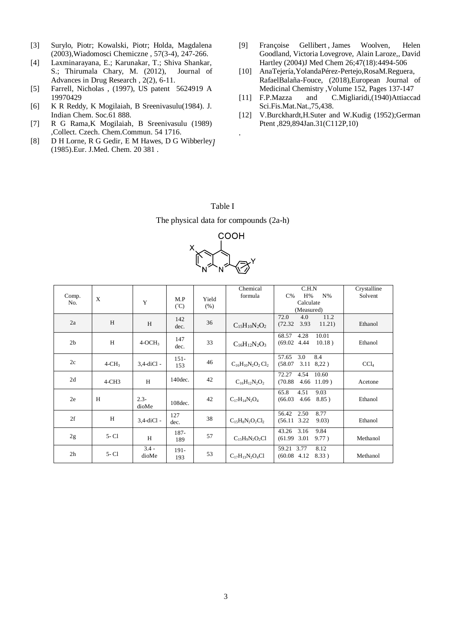- [3] Surylo, Piotr; Kowalski, Piotr; Holda, Magdalena (2003),Wiadomosci Chemiczne , 57(3-4), 247-266.
- [4] Laxminarayana, E.; Karunakar, T.; Shiva Shankar, S.; Thirumala Chary, M. (2012), Journal of Advances in Drug Research , 2(2), 6-11.
- [5] Farrell, Nicholas , (1997), US patent 5624919 A 19970429
- [6] K R Reddy, K Mogilaiah, B Sreenivasulu(1984). J. Indian Chem. Soc.61 888.
- [7] R G Rama,K Mogilaiah, B Sreenivasulu (1989) ,Collect. Czech. Chem.Commun. 54 1716.
- [8] D H Lorne, R G Gedir, E M Hawes, D G Wibberley] (1985).Eur. J.Med. Chem. 20 381 .
- [9] [Françoise Gellibert](https://pubmed.ncbi.nlm.nih.gov/?term=Gellibert+F&cauthor_id=15317461), [James Woolven,](https://pubmed.ncbi.nlm.nih.gov/?term=Woolven+J&cauthor_id=15317461) Helen [Goodland,](https://pubmed.ncbi.nlm.nih.gov/?term=Goodland+H&cauthor_id=15317461) [Victoria Lovegrove,](https://pubmed.ncbi.nlm.nih.gov/?term=Lovegrove+V&cauthor_id=15317461) [Alain Laroze,](https://pubmed.ncbi.nlm.nih.gov/?term=Laroze+A&cauthor_id=15317461), [David](https://pubmed.ncbi.nlm.nih.gov/?term=Hartley+D&cauthor_id=15317461)  [Hartley](https://pubmed.ncbi.nlm.nih.gov/?term=Hartley+D&cauthor_id=15317461) (2004)J Med Chem 26;47(18):4494-506
- [10] [AnaTejería,YolandaPérez-Pertejo,RosaM.Reguera,](https://www.sciencedirect.com/science/article/abs/pii/S0223523418303672#!) [RafaelBalaña-Fouce,](https://www.sciencedirect.com/science/article/abs/pii/S0223523418303672#!) (2018[\),European Journal of](https://www.sciencedirect.com/science/journal/02235234)  [Medicinal Chemistry](https://www.sciencedirect.com/science/journal/02235234) [,Volume 152,](https://www.sciencedirect.com/science/journal/02235234/152/supp/C) Pages 137-147
- [11] F.P.Mazza and C.Migliaridi,(1940)Attiaccad Sci.Fis.Mat.Nat.,75,438.
- [12] V.Burckhardt,H.Suter and W.Kudig (1952);German Ptent ,829,894Jan.31(C112P,10)

Table I The physical data for compounds (2a-h)

*.*



| Comp.<br>No.   | X        | Y                | M.P<br>$({}^{\circ}C)$ | Yield<br>(% ) | Chemical<br>formula                                                | C.H.N<br>H%<br>$N\%$<br>$C\%$<br>Calculate<br>(Measured) | Crystalline<br>Solvent |
|----------------|----------|------------------|------------------------|---------------|--------------------------------------------------------------------|----------------------------------------------------------|------------------------|
| 2a             | H        | H                | 142<br>dec.            | 36            | $C_{15}H_{10}N_2O_2$                                               | 72.0<br>11.2<br>4.0<br>3.93<br>(72.32)<br>11.21)         | Ethanol                |
| 2 <sub>b</sub> | H        | $4-OCH3$         | 147<br>dec.            | 33            | $C_{16}H_{12}N_2O_3$                                               | 68.57<br>4.28<br>10.01<br>10.18)<br>(69.02, 4.44)        | Ethanol                |
| 2c             | $4-CH3$  | $3,4$ -diCl -    | $151 -$<br>153         | 46            | $C_{16}H_{10}N_2O_2Cl_2$                                           | 3.0<br>8.4<br>57.65<br>(58.07)<br>$3.11$ $8,22$ )        | CCl <sub>4</sub>       |
| 2d             | $4-CH3$  | H                | 140 dec.               | 42            | $C_{16}H_{12}N_2O_2$                                               | 72.27<br>4.54<br>10.60<br>(70.88)<br>$4.66$ 11.09)       | Acetone                |
| 2e             | H        | $2.3 -$<br>dioMe | 108 dec.               | 42            | $C_{17}H_{14}N_2O_4$                                               | 65.8<br>4.51<br>9.03<br>(66.03)<br>$4.66$ $8.85$ )       | Ethanol                |
| 2f             | H        | 3,4-diCl -       | 127<br>dec.            | 38            | $C_{15}H_8N_2O_2Cl_2$                                              | 56.42<br>2.50<br>8.77<br>$(56.11 \t3.22)$<br>9.03)       | Ethanol                |
| 2g             | $5 - C1$ | H                | 187-<br>189            | 57            | $C_1$ <sub>5</sub> H <sub>9</sub> N <sub>2</sub> O <sub>2</sub> Cl | 43.26<br>3.16<br>9.84<br>$(61.99 \quad 3.01)$<br>9.77)   | Methanol               |
| 2 <sub>h</sub> | $5 - C1$ | $3.4 -$<br>dioMe | $191 -$<br>193         | 53            | $C_{17}H_{13}N_2O_4Cl$                                             | 8.12<br>59.21 3.77<br>$(60.08 \t 4.12)$<br>8.33)         | Methanol               |